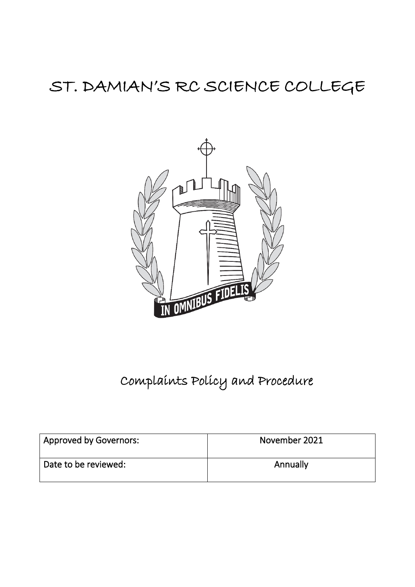# ST. DAMIAN'S RC SCIENCE COLLEGE



# Complaints Policy and Procedure

| Approved by Governors: | November 2021 |
|------------------------|---------------|
| Date to be reviewed:   | Annually      |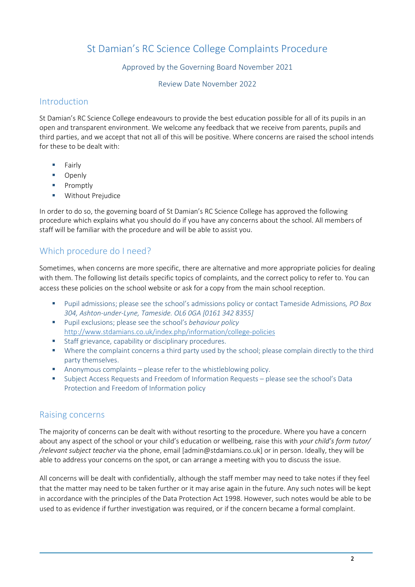# St Damian's RC Science College Complaints Procedure

#### Approved by the Governing Board November 2021

Review Date November 2022

## Introduction

St Damian's RC Science College endeavours to provide the best education possible for all of its pupils in an open and transparent environment. We welcome any feedback that we receive from parents, pupils and third parties, and we accept that not all of this will be positive. Where concerns are raised the school intends for these to be dealt with:

- $Fair|v$
- **Denly**
- **Promptly**
- **Without Prejudice**

In order to do so, the governing board of St Damian's RC Science College has approved the following procedure which explains what you should do if you have any concerns about the school. All members of staff will be familiar with the procedure and will be able to assist you.

# Which procedure do I need?

Sometimes, when concerns are more specific, there are alternative and more appropriate policies for dealing with them. The following list details specific topics of complaints, and the correct policy to refer to. You can access these policies on the school website or ask for a copy from the main school reception.

- Pupil admissions; please see the school's admissions policy or contact Tameside Admissions*, PO Box 304, Ashton-under-Lyne, Tameside. OL6 0GA [0161 342 8355]*
- Pupil exclusions; please see the school's *behaviour policy*  <http://www.stdamians.co.uk/index.php/information/college-policies>
- **Staff grievance, capability or disciplinary procedures.**
- Where the complaint concerns a third party used by the school; please complain directly to the third party themselves.
- Anonymous complaints please refer to the whistleblowing policy.
- Subject Access Requests and Freedom of Information Requests please see the school's Data Protection and Freedom of Information policy

## Raising concerns

The majority of concerns can be dealt with without resorting to the procedure. Where you have a concern about any aspect of the school or your child's education or wellbeing, raise this with *your child's form tutor/ /relevant subject teacher* via the phone, email [admin@stdamians.co.uk] or in person. Ideally, they will be able to address your concerns on the spot, or can arrange a meeting with you to discuss the issue.

All concerns will be dealt with confidentially, although the staff member may need to take notes if they feel that the matter may need to be taken further or it may arise again in the future. Any such notes will be kept in accordance with the principles of the Data Protection Act 1998. However, such notes would be able to be used to as evidence if further investigation was required, or if the concern became a formal complaint.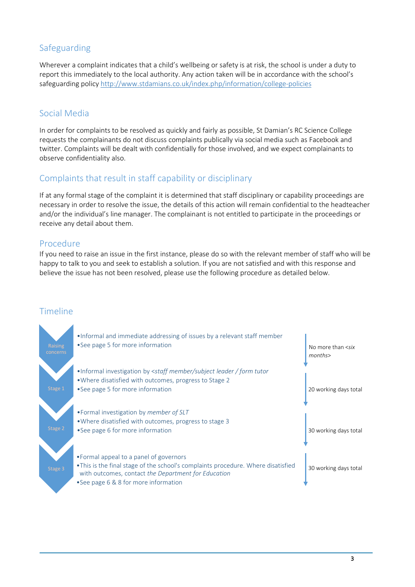## Safeguarding

Wherever a complaint indicates that a child's wellbeing or safety is at risk, the school is under a duty to report this immediately to the local authority. Any action taken will be in accordance with the school's safeguarding polic[y http://www.stdamians.co.uk/index.php/information/college-policies](http://www.stdamians.co.uk/index.php/information/college-policies)

## Social Media

In order for complaints to be resolved as quickly and fairly as possible, St Damian's RC Science College requests the complainants do not discuss complaints publically via social media such as Facebook and twitter. Complaints will be dealt with confidentially for those involved, and we expect complainants to observe confidentiality also.

## Complaints that result in staff capability or disciplinary

If at any formal stage of the complaint it is determined that staff disciplinary or capability proceedings are necessary in order to resolve the issue, the details of this action will remain confidential to the headteacher and/or the individual's line manager. The complainant is not entitled to participate in the proceedings or receive any detail about them.

## Procedure

If you need to raise an issue in the first instance, please do so with the relevant member of staff who will be happy to talk to you and seek to establish a solution. If you are not satisfied and with this response and believe the issue has not been resolved, please use the following procedure as detailed below.

## Timeline

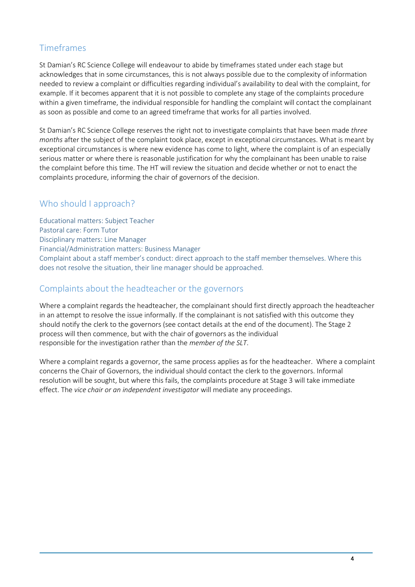# Timeframes

St Damian's RC Science College will endeavour to abide by timeframes stated under each stage but acknowledges that in some circumstances, this is not always possible due to the complexity of information needed to review a complaint or difficulties regarding individual's availability to deal with the complaint, for example. If it becomes apparent that it is not possible to complete any stage of the complaints procedure within a given timeframe, the individual responsible for handling the complaint will contact the complainant as soon as possible and come to an agreed timeframe that works for all parties involved.

St Damian's RC Science College reserves the right not to investigate complaints that have been made *three months* after the subject of the complaint took place, except in exceptional circumstances. What is meant by exceptional circumstances is where new evidence has come to light, where the complaint is of an especially serious matter or where there is reasonable justification for why the complainant has been unable to raise the complaint before this time. The HT will review the situation and decide whether or not to enact the complaints procedure, informing the chair of governors of the decision.

# Who should I approach?

Educational matters: Subject Teacher Pastoral care: Form Tutor Disciplinary matters: Line Manager Financial/Administration matters: Business Manager Complaint about a staff member's conduct: direct approach to the staff member themselves. Where this does not resolve the situation, their line manager should be approached.

## Complaints about the headteacher or the governors

Where a complaint regards the headteacher, the complainant should first directly approach the headteacher in an attempt to resolve the issue informally. If the complainant is not satisfied with this outcome they should notify the clerk to the governors (see contact details at the end of the document). The Stage 2 process will then commence, but with the chair of governors as the individual responsible for the investigation rather than the *member of the SLT*.

Where a complaint regards a governor, the same process applies as for the headteacher. Where a complaint concerns the Chair of Governors, the individual should contact the clerk to the governors. Informal resolution will be sought, but where this fails, the complaints procedure at Stage 3 will take immediate effect. The *vice chair or an independent investigator* will mediate any proceedings.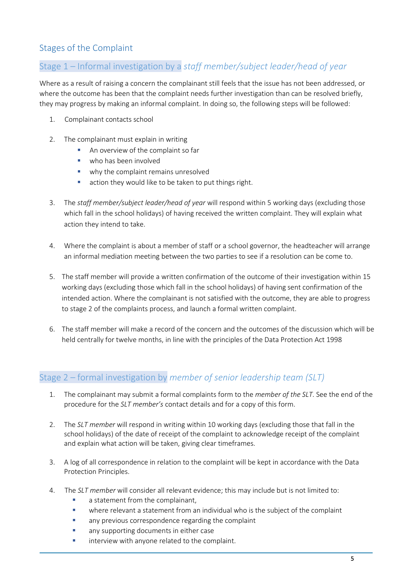# Stages of the Complaint

# Stage 1 – Informal investigation by a *staff member/subject leader/head of year*

Where as a result of raising a concern the complainant still feels that the issue has not been addressed, or where the outcome has been that the complaint needs further investigation than can be resolved briefly, they may progress by making an informal complaint. In doing so, the following steps will be followed:

- 1. Complainant contacts school
- 2. The complainant must explain in writing
	- An overview of the complaint so far
	- who has been involved
	- why the complaint remains unresolved
	- **E** action they would like to be taken to put things right.
- 3. The *staff member/subject leader/head of year* will respond within 5 working days (excluding those which fall in the school holidays) of having received the written complaint. They will explain what action they intend to take.
- 4. Where the complaint is about a member of staff or a school governor, the headteacher will arrange an informal mediation meeting between the two parties to see if a resolution can be come to.
- 5. The staff member will provide a written confirmation of the outcome of their investigation within 15 working days (excluding those which fall in the school holidays) of having sent confirmation of the intended action. Where the complainant is not satisfied with the outcome, they are able to progress to stage 2 of the complaints process, and launch a formal written complaint.
- 6. The staff member will make a record of the concern and the outcomes of the discussion which will be held centrally for twelve months, in line with the principles of the Data Protection Act 1998

## Stage 2 – formal investigation by *member of senior leadership team (SLT)*

- 1. The complainant may submit a formal complaints form to the *member of the SLT*. See the end of the procedure for the *SLT member's* contact details and for a copy of this form.
- 2. The *SLT member* will respond in writing within 10 working days (excluding those that fall in the school holidays) of the date of receipt of the complaint to acknowledge receipt of the complaint and explain what action will be taken, giving clear timeframes.
- 3. A log of all correspondence in relation to the complaint will be kept in accordance with the Data Protection Principles.
- 4. The *SLT member* will consider all relevant evidence; this may include but is not limited to:
	- **a** statement from the complainant,
	- where relevant a statement from an individual who is the subject of the complaint
	- any previous correspondence regarding the complaint
	- any supporting documents in either case
	- interview with anyone related to the complaint.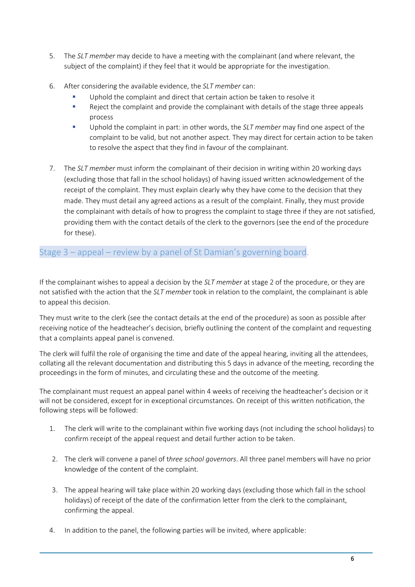- 5. The *SLT member* may decide to have a meeting with the complainant (and where relevant, the subject of the complaint) if they feel that it would be appropriate for the investigation.
- 6. After considering the available evidence, the *SLT member* can:
	- Uphold the complaint and direct that certain action be taken to resolve it
	- Reject the complaint and provide the complainant with details of the stage three appeals process
	- Uphold the complaint in part: in other words, the *SLT member* may find one aspect of the complaint to be valid, but not another aspect. They may direct for certain action to be taken to resolve the aspect that they find in favour of the complainant.
- 7. The *SLT member* must inform the complainant of their decision in writing within 20 working days (excluding those that fall in the school holidays) of having issued written acknowledgement of the receipt of the complaint. They must explain clearly why they have come to the decision that they made. They must detail any agreed actions as a result of the complaint. Finally, they must provide the complainant with details of how to progress the complaint to stage three if they are not satisfied, providing them with the contact details of the clerk to the governors (see the end of the procedure for these).

## Stage 3 – appeal – review by a panel of St Damian's governing board.

If the complainant wishes to appeal a decision by the *SLT member* at stage 2 of the procedure, or they are not satisfied with the action that the *SLT member* took in relation to the complaint, the complainant is able to appeal this decision.

They must write to the clerk (see the contact details at the end of the procedure) as soon as possible after receiving notice of the headteacher's decision, briefly outlining the content of the complaint and requesting that a complaints appeal panel is convened.

The clerk will fulfil the role of organising the time and date of the appeal hearing, inviting all the attendees, collating all the relevant documentation and distributing this 5 days in advance of the meeting, recording the proceedings in the form of minutes, and circulating these and the outcome of the meeting.

The complainant must request an appeal panel within 4 weeks of receiving the headteacher's decision or it will not be considered, except for in exceptional circumstances. On receipt of this written notification, the following steps will be followed:

- 1. The clerk will write to the complainant within five working days (not including the school holidays) to confirm receipt of the appeal request and detail further action to be taken.
- 2. The clerk will convene a panel of t*hree school governors*. All three panel members will have no prior knowledge of the content of the complaint.
- 3. The appeal hearing will take place within 20 working days (excluding those which fall in the school holidays) of receipt of the date of the confirmation letter from the clerk to the complainant. confirming the appeal.
- 4. In addition to the panel, the following parties will be invited, where applicable: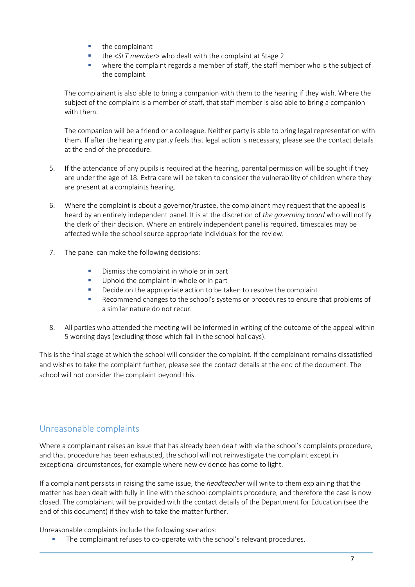- the complainant
- the <*SLT member*> who dealt with the complaint at Stage 2
- where the complaint regards a member of staff, the staff member who is the subject of the complaint.

The complainant is also able to bring a companion with them to the hearing if they wish. Where the subject of the complaint is a member of staff, that staff member is also able to bring a companion with them.

The companion will be a friend or a colleague. Neither party is able to bring legal representation with them. If after the hearing any party feels that legal action is necessary, please see the contact details at the end of the procedure.

- 5. If the attendance of any pupils is required at the hearing, parental permission will be sought if they are under the age of 18. Extra care will be taken to consider the vulnerability of children where they are present at a complaints hearing.
- 6. Where the complaint is about a governor/trustee, the complainant may request that the appeal is heard by an entirely independent panel. It is at the discretion of *the governing board* who will notify the clerk of their decision. Where an entirely independent panel is required, timescales may be affected while the school source appropriate individuals for the review.
- 7. The panel can make the following decisions:
	- Dismiss the complaint in whole or in part
	- Uphold the complaint in whole or in part
	- Decide on the appropriate action to be taken to resolve the complaint
	- Recommend changes to the school's systems or procedures to ensure that problems of a similar nature do not recur.
- 8. All parties who attended the meeting will be informed in writing of the outcome of the appeal within 5 working days (excluding those which fall in the school holidays).

This is the final stage at which the school will consider the complaint. If the complainant remains dissatisfied and wishes to take the complaint further, please see the contact details at the end of the document. The school will not consider the complaint beyond this.

## Unreasonable complaints

Where a complainant raises an issue that has already been dealt with via the school's complaints procedure, and that procedure has been exhausted, the school will not reinvestigate the complaint except in exceptional circumstances, for example where new evidence has come to light.

If a complainant persists in raising the same issue, the *headteacher* will write to them explaining that the matter has been dealt with fully in line with the school complaints procedure, and therefore the case is now closed. The complainant will be provided with the contact details of the Department for Education (see the end of this document) if they wish to take the matter further.

Unreasonable complaints include the following scenarios:

The complainant refuses to co-operate with the school's relevant procedures.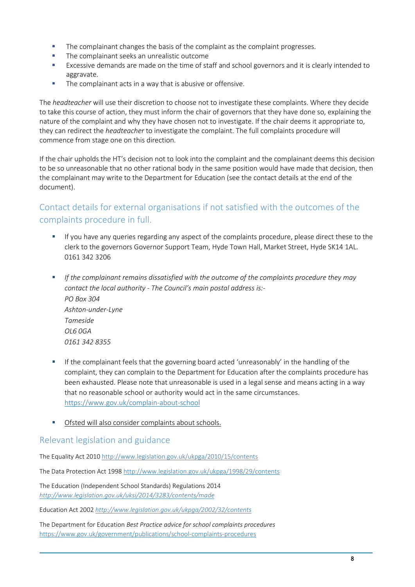- The complainant changes the basis of the complaint as the complaint progresses.
- **The complainant seeks an unrealistic outcome**
- **Excessive demands are made on the time of staff and school governors and it is clearly intended to** aggravate.
- The complainant acts in a way that is abusive or offensive.

The *headteacher* will use their discretion to choose not to investigate these complaints. Where they decide to take this course of action, they must inform the chair of governors that they have done so, explaining the nature of the complaint and why they have chosen not to investigate. If the chair deems it appropriate to, they can redirect the *headteacher* to investigate the complaint. The full complaints procedure will commence from stage one on this direction.

If the chair upholds the HT's decision not to look into the complaint and the complainant deems this decision to be so unreasonable that no other rational body in the same position would have made that decision, then the complainant may write to the Department for Education (see the contact details at the end of the document).

# Contact details for external organisations if not satisfied with the outcomes of the complaints procedure in full.

- If you have any queries regarding any aspect of the complaints procedure, please direct these to the clerk to the governors Governor Support Team, Hyde Town Hall, Market Street, Hyde SK14 1AL. 0161 342 3206
- *If the complainant remains dissatisfied with the outcome of the complaints procedure they may contact the local authority - The Council's main postal address is:- PO Box 304 Ashton-under-Lyne Tameside OL6 0GA 0161 342 8355*
- If the complainant feels that the governing board acted 'unreasonably' in the handling of the complaint, they can complain to the Department for Education after the complaints procedure has been exhausted. Please note that unreasonable is used in a legal sense and means acting in a way that no reasonable school or authority would act in the same circumstances. <https://www.gov.uk/complain-about-school>
- Ofsted will also consider complaints about schools.

## Relevant legislation and guidance

The Equality Act 2010<http://www.legislation.gov.uk/ukpga/2010/15/contents>

The Data Protection Act 1998<http://www.legislation.gov.uk/ukpga/1998/29/contents>

The Education (Independent School Standards) Regulations 2014 *<http://www.legislation.gov.uk/uksi/2014/3283/contents/made>*

Education Act 2002 *<http://www.legislation.gov.uk/ukpga/2002/32/contents>*

The Department for Education *Best Practice advice for school complaints procedures*  <https://www.gov.uk/government/publications/school-complaints-procedures>